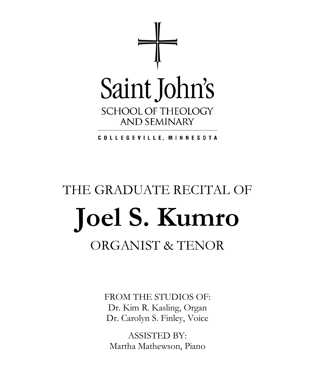

COLLEGEVILLE, MINNESOTA

# THE GRADUATE RECITAL OF **Joel S. Kumro** ORGANIST & TENOR

FROM THE STUDIOS OF: Dr. Kim R. Kasling, Organ Dr. Carolyn S. Finley, Voice

ASSISTED BY: Martha Mathewson, Piano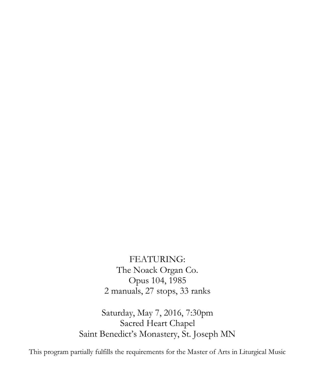FEATURING: The Noack Organ Co. Opus 104, 1985 2 manuals, 27 stops, 33 ranks

Saturday, May 7, 2016, 7:30pm Sacred Heart Chapel Saint Benedict's Monastery, St. Joseph MN

This program partially fulfills the requirements for the Master of Arts in Liturgical Music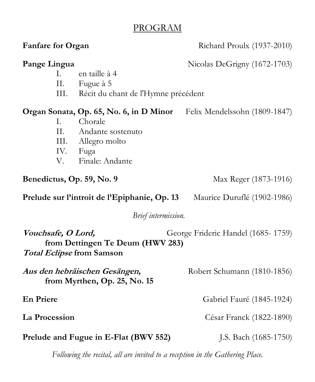## PROGRAM

| <b>Fanfare for Organ</b>                                                                                                         |                                                                                                  | Richard Proulx (1937-2010)                                            |
|----------------------------------------------------------------------------------------------------------------------------------|--------------------------------------------------------------------------------------------------|-----------------------------------------------------------------------|
| Pange Lingua                                                                                                                     | en taille à 4<br>$\mathbf{L}$<br>Fugue à 5<br>II.<br>Récit du chant de l'Hymne précédent<br>III. | Nicolas DeGrigny (1672-1703)                                          |
| Ι.<br>V.                                                                                                                         | Chorale<br>Andante sostenuto<br>II.<br>Allegro molto<br>III.<br>IV.<br>Fuga<br>Finale: Andante   | Organ Sonata, Op. 65, No. 6, in D Minor Felix Mendelssohn (1809-1847) |
| Benedictus, Op. 59, No. 9                                                                                                        |                                                                                                  | Max Reger (1873-1916)                                                 |
| Prelude sur l'introit de l'Epiphanie, Op. 13                                                                                     |                                                                                                  | Maurice Duruflé (1902-1986)                                           |
| Brief intermission.                                                                                                              |                                                                                                  |                                                                       |
| Vouchsafe, O Lord,<br>George Frideric Handel (1685-1759)<br>from Dettingen Te Deum (HWV 283)<br><b>Total Eclipse from Samson</b> |                                                                                                  |                                                                       |
| Aus den hebräischen Gesängen,<br>from Myrthen, Op. 25, No. 15                                                                    |                                                                                                  | Robert Schumann (1810-1856)                                           |
| <b>En Priere</b>                                                                                                                 |                                                                                                  | Gabriel Fauré (1845-1924)                                             |
| La Procession                                                                                                                    |                                                                                                  | César Franck (1822-1890)                                              |
| Prelude and Fugue in E-Flat (BWV 552)                                                                                            |                                                                                                  | J.S. Bach $(1685-1750)$                                               |
| Following the recital, all are invited to a reception in the Gathering Place.                                                    |                                                                                                  |                                                                       |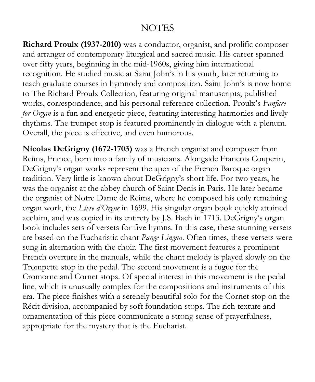#### **NOTES**

**Richard Proulx (1937-2010)** was a conductor, organist, and prolific composer and arranger of contemporary liturgical and sacred music. His career spanned over fifty years, beginning in the mid-1960s, giving him international recognition. He studied music at Saint John's in his youth, later returning to teach graduate courses in hymnody and composition. Saint John's is now home to The Richard Proulx Collection, featuring original manuscripts, published works, correspondence, and his personal reference collection. Proulx's *Fanfare for Organ* is a fun and energetic piece, featuring interesting harmonies and lively rhythms. The trumpet stop is featured prominently in dialogue with a plenum. Overall, the piece is effective, and even humorous.

**Nicolas DeGrigny (1672-1703)** was a French organist and composer from Reims, France, born into a family of musicians. Alongside Francois Couperin, DeGrigny's organ works represent the apex of the French Baroque organ tradition. Very little is known about DeGrigny's short life. For two years, he was the organist at the abbey church of Saint Denis in Paris. He later became the organist of Notre Dame de Reims, where he composed his only remaining organ work, the *Livre d'Orgue* in 1699. His singular organ book quickly attained acclaim, and was copied in its entirety by J.S. Bach in 1713. DeGrigny's organ book includes sets of versets for five hymns. In this case, these stunning versets are based on the Eucharistic chant *Pange Lingua*. Often times, these versets were sung in alternation with the choir. The first movement features a prominent French overture in the manuals, while the chant melody is played slowly on the Trompette stop in the pedal. The second movement is a fugue for the Cromorne and Cornet stops. Of special interest in this movement is the pedal line, which is unusually complex for the compositions and instruments of this era. The piece finishes with a serenely beautiful solo for the Cornet stop on the Récit division, accompanied by soft foundation stops. The rich texture and ornamentation of this piece communicate a strong sense of prayerfulness, appropriate for the mystery that is the Eucharist.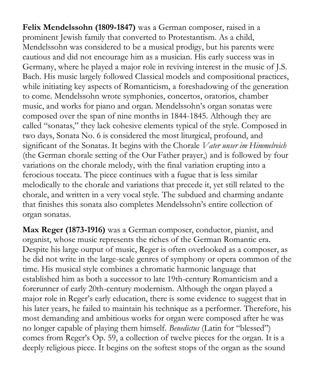**Felix Mendelssohn (1809-1847)** was a German composer, raised in a prominent Jewish family that converted to Protestantism. As a child, Mendelssohn was considered to be a musical prodigy, but his parents were cautious and did not encourage him as a musician. His early success was in Germany, where he played a major role in reviving interest in the music of J.S. Bach. His music largely followed Classical models and compositional practices, while initiating key aspects of Romanticism, a foreshadowing of the generation to come. Mendelssohn wrote symphonies, concertos, oratorios, chamber music, and works for piano and organ. Mendelssohn's organ sonatas were composed over the span of nine months in 1844-1845. Although they are called "sonatas," they lack cohesive elements typical of the style. Composed in two days, Sonata No. 6 is considered the most liturgical, profound, and significant of the Sonatas. It begins with the Chorale *Vater unser im Himmelreich*  (the German chorale setting of the Our Father prayer,) and is followed by four variations on the chorale melody, with the final variation erupting into a ferocious toccata. The piece continues with a fugue that is less similar melodically to the chorale and variations that precede it, yet still related to the chorale, and written in a very vocal style. The subdued and charming andante that finishes this sonata also completes Mendelssohn's entire collection of organ sonatas.

**Max Reger (1873-1916)** was a German composer, conductor, pianist, and organist, whose music represents the riches of the German Romantic era. Despite his large output of music, Reger is often overlooked as a composer, as he did not write in the large-scale genres of symphony or opera common of the time. His musical style combines a chromatic harmonic language that established him as both a successor to late 19th-century Romanticism and a forerunner of early 20th-century modernism. Although the organ played a major role in Reger's early education, there is some evidence to suggest that in his later years, he failed to maintain his technique as a performer. Therefore, his most demanding and ambitious works for organ were composed after he was no longer capable of playing them himself. *Benedictus* (Latin for "blessed") comes from Reger's Op. 59, a collection of twelve pieces for the organ. It is a deeply religious piece. It begins on the softest stops of the organ as the sound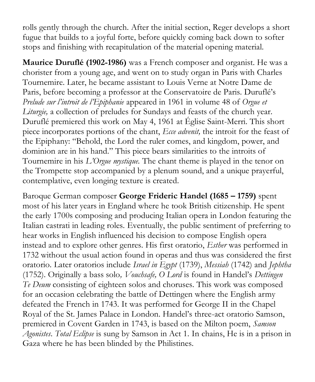rolls gently through the church. After the initial section, Reger develops a short fugue that builds to a joyful forte, before quickly coming back down to softer stops and finishing with recapitulation of the material opening material.

**Maurice Duruflé (1902-1986)** was a French composer and organist. He was a chorister from a young age, and went on to study organ in Paris with Charles Tournemire. Later, he became assistant to Louis Verne at Notre Dame de Paris, before becoming a professor at the Conservatoire de Paris. Duruflé's *Prelude sur l'introit de l'Epiphanie* appeared in 1961 in volume 48 of *Orgue et Liturgie,* a collection of preludes for Sundays and feasts of the church year. Duruflé premiered this work on May 4, 1961 at Église Saint-Merri. This short piece incorporates portions of the chant, *Ecce advenit,* the introit for the feast of the Epiphany: "Behold, the Lord the ruler comes, and kingdom, power, and dominion are in his hand." This piece bears similarities to the introits of Tournemire in his *L'Orgue mystique.* The chant theme is played in the tenor on the Trompette stop accompanied by a plenum sound, and a unique prayerful, contemplative, even longing texture is created.

Baroque German composer **George Frideric Handel (1685 – 1759)** spent most of his later years in England where he took British citizenship. He spent the early 1700s composing and producing Italian opera in London featuring the Italian castrati in leading roles. Eventually, the public sentiment of preferring to hear works in English influenced his decision to compose English opera instead and to explore other genres. His first oratorio, *Esther* was performed in 1732 without the usual action found in operas and thus was considered the first oratorio. Later oratorios include *Israel in Egypt* (1739), *Messiah* (1742) and *Jephtha*  (1752). Originally a bass solo*, Vouchsafe, O Lord* is found in Handel's *Dettingen Te Deum* consisting of eighteen solos and choruses. This work was composed for an occasion celebrating the battle of Dettingen where the English army defeated the French in 1743. It was performed for George II in the Chapel Royal of the St. James Palace in London. Handel's three-act oratorio Samson, premiered in Covent Garden in 1743, is based on the Milton poem, *Samson Agonistes*. *Total Eclipse* is sung by Samson in Act 1. In chains, He is in a prison in Gaza where he has been blinded by the Philistines.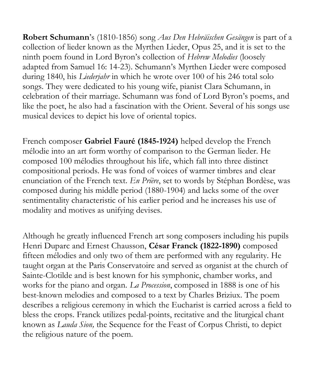**Robert Schumann**'s (1810-1856) song *Aus Den Hebräischen Gesängen* is part of a collection of lieder known as the Myrthen Lieder, Opus 25, and it is set to the ninth poem found in Lord Byron's collection of *Hebrew Melodies* (loosely adapted from Samuel 16: 14-23). Schumann's Myrthen Lieder were composed during 1840, his *Liederjahr* in which he wrote over 100 of his 246 total solo songs. They were dedicated to his young wife, pianist Clara Schumann, in celebration of their marriage. Schumann was fond of Lord Byron's poems, and like the poet, he also had a fascination with the Orient. Several of his songs use musical devices to depict his love of oriental topics.

French composer **Gabriel Fauré (1845-1924)** helped develop the French mélodie into an art form worthy of comparison to the German lieder. He composed 100 mélodies throughout his life, which fall into three distinct compositional periods. He was fond of voices of warmer timbres and clear enunciation of the French text. *En Prière*, set to words by Stéphan Bordèse, was composed during his middle period (1880-1904) and lacks some of the over sentimentality characteristic of his earlier period and he increases his use of modality and motives as unifying devises.

Although he greatly influenced French art song composers including his pupils Henri Duparc and Ernest Chausson, **César Franck (1822-1890)** composed fifteen mélodies and only two of them are performed with any regularity. He taught organ at the Paris Conservatoire and served as organist at the church of Sainte-Clotilde and is best known for his symphonic, chamber works, and works for the piano and organ. *La Procession*, composed in 1888 is one of his best-known melodies and composed to a text by Charles Briziux. The poem describes a religious ceremony in which the Eucharist is carried across a field to bless the crops. Franck utilizes pedal-points, recitative and the liturgical chant known as *Lauda Sion,* the Sequence for the Feast of Corpus Christi, to depict the religious nature of the poem.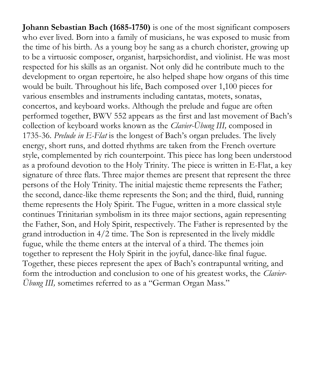**Johann Sebastian Bach (1685-1750)** is one of the most significant composers who ever lived. Born into a family of musicians, he was exposed to music from the time of his birth. As a young boy he sang as a church chorister, growing up to be a virtuosic composer, organist, harpsichordist, and violinist. He was most respected for his skills as an organist. Not only did he contribute much to the development to organ repertoire, he also helped shape how organs of this time would be built. Throughout his life, Bach composed over 1,100 pieces for various ensembles and instruments including cantatas, motets, sonatas, concertos, and keyboard works. Although the prelude and fugue are often performed together, BWV 552 appears as the first and last movement of Bach's collection of keyboard works known as the *Clavier-Übung III,* composed in 1735-36. *Prelude in E-Flat* is the longest of Bach's organ preludes. The lively energy, short runs, and dotted rhythms are taken from the French overture style, complemented by rich counterpoint. This piece has long been understood as a profound devotion to the Holy Trinity. The piece is written in E-Flat, a key signature of three flats. Three major themes are present that represent the three persons of the Holy Trinity. The initial majestic theme represents the Father; the second, dance-like theme represents the Son; and the third, fluid, running theme represents the Holy Spirit. The Fugue, written in a more classical style continues Trinitarian symbolism in its three major sections, again representing the Father, Son, and Holy Spirit, respectively. The Father is represented by the grand introduction in 4/2 time. The Son is represented in the lively middle fugue, while the theme enters at the interval of a third. The themes join together to represent the Holy Spirit in the joyful, dance-like final fugue. Together, these pieces represent the apex of Bach's contrapuntal writing, and form the introduction and conclusion to one of his greatest works, the *Clavier-Übung III, sometimes referred to as a "German Organ Mass."*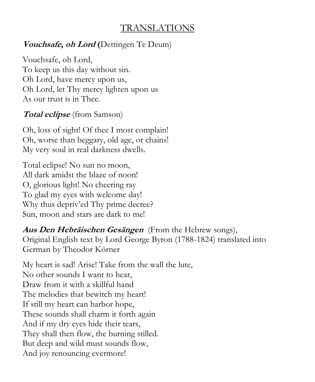### TRANSLATIONS

#### **Vouchsafe, oh Lord (**Dettingen Te Deum)

Vouchsafe, oh Lord, To keep us this day without sin. Oh Lord, have mercy upon us, Oh Lord, let Thy mercy lighten upon us As our trust is in Thee.

#### **Total eclipse** (from Samson)

Oh, loss of sight! Of thee I most complain! Oh, worse than beggary, old age, or chains! My very soul in real darkness dwells.

Total eclipse! No sun no moon, All dark amidst the blaze of noon! O, glorious light! No cheering ray To glad my eyes with welcome day! Why thus depriv'ed Thy prime decree? Sun, moon and stars are dark to me!

**Aus Den Hebräischen Gesängen**(From the Hebrew songs), Original English text by Lord George Byron (1788-1824) translated into German by Theodor Körner

My heart is sad! Arise! Take from the wall the lute, No other sounds I want to hear, Draw from it with a skillful hand The melodies that bewitch my heart! If still my heart can harbor hope, These sounds shall charm it forth again And if my dry eyes hide their tears, They shall then flow, the burning stilled. But deep and wild must sounds flow, And joy renouncing evermore!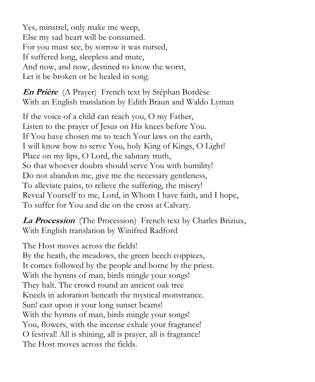Yes, minstrel, only make me weep, Else my sad heart will be consumed. For you must see, by sorrow it was nursed, If suffered long, sleepless and mute, And now, and now, destined to know the worst, Let it be broken or be healed in song.

**En Prière** (A Prayer) French text by Stéphan Bordèse With an English translation by Edith Braun and Waldo Lyman

If the voice of a child can reach you, O my Father, Listen to the prayer of Jesus on His knees before You. If You have chosen me to teach Your laws on the earth, I will know how to serve You, holy King of Kings, O Light! Place on my lips, O Lord, the salutary truth, So that whoever doubts should serve You with humility! Do not abandon me, give me the necessary gentleness, To alleviate pains, to relieve the suffering, the misery! Reveal Yourself to me, Lord, in Whom I have faith, and I hope, To suffer for You and die on the cross at Calvary.

**La Procession**(The Procession) French text by Charles Briziux, With English translation by Winifred Radford

The Host moves across the fields! By the heath, the meadows, the green beech coppices, It comes followed by the people and borne by the priest. With the hymns of man, birds mingle your songs! They halt. The crowd round an ancient oak tree Kneels in adoration beneath the mystical monstrance. Sun! cast upon it your long sunset beams! With the hymns of man, birds mingle your songs! You, flowers, with the incense exhale your fragrance! O festival! All is shining, all is prayer, all is fragrance! The Host moves across the fields.